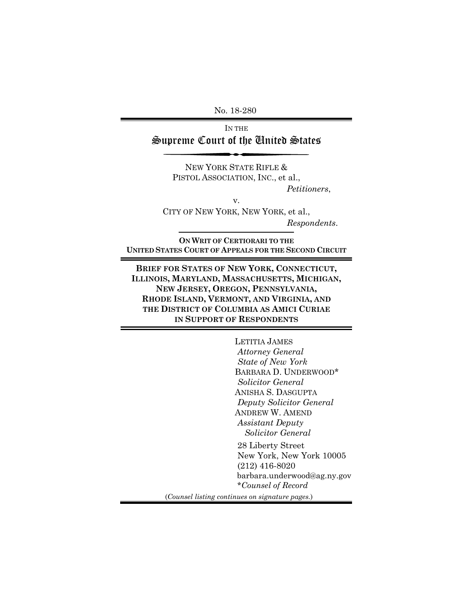No. 18-280

IN THE Supreme Court of the United States

> NEW YORK STATE RIFLE & PISTOL ASSOCIATION, INC., et al.,

*Petitioners*,

CITY OF NEW YORK, NEW YORK, et al., *Respondents*.

**ON WRIT OF CERTIORARI TO THE UNITED STATES COURT OF APPEALS FOR THE SECOND CIRCUIT**

v.

**BRIEF FOR STATES OF NEW YORK, CONNECTICUT, ILLINOIS, MARYLAND, MASSACHUSETTS, MICHIGAN, NEW JERSEY, OREGON, PENNSYLVANIA, RHODE ISLAND, VERMONT, AND VIRGINIA, AND THE DISTRICT OF COLUMBIA AS AMICI CURIAE IN SUPPORT OF RESPONDENTS**

> LETITIA JAMES  *Attorney General State of New York*  BARBARA D. UNDERWOOD\*  *Solicitor General*  ANISHA S. DASGUPTA  *Deputy Solicitor General*  ANDREW W. AMEND  *Assistant Deputy Solicitor General*  28 Liberty Street New York, New York 10005 (212) 416-8020 barbara.underwood@ag.ny.gov \**Counsel of Record*

(*Counsel listing continues on signature pages.*)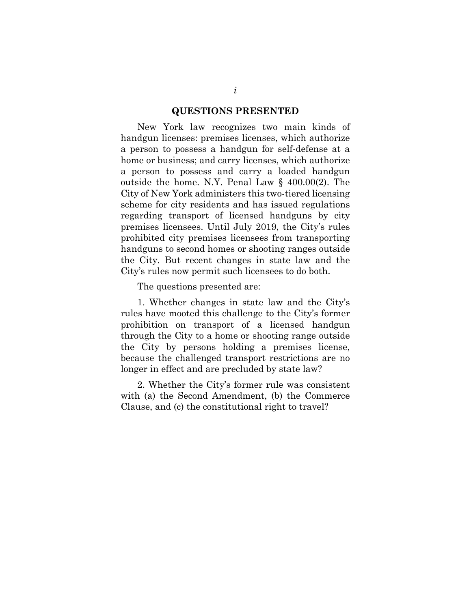#### **QUESTIONS PRESENTED**

New York law recognizes two main kinds of handgun licenses: premises licenses, which authorize a person to possess a handgun for self-defense at a home or business; and carry licenses, which authorize a person to possess and carry a loaded handgun outside the home. N.Y. Penal Law § 400.00(2). The City of New York administers this two-tiered licensing scheme for city residents and has issued regulations regarding transport of licensed handguns by city premises licensees. Until July 2019, the City's rules prohibited city premises licensees from transporting handguns to second homes or shooting ranges outside the City. But recent changes in state law and the City's rules now permit such licensees to do both.

The questions presented are:

1. Whether changes in state law and the City's rules have mooted this challenge to the City's former prohibition on transport of a licensed handgun through the City to a home or shooting range outside the City by persons holding a premises license, because the challenged transport restrictions are no longer in effect and are precluded by state law?

2. Whether the City's former rule was consistent with (a) the Second Amendment, (b) the Commerce Clause, and (c) the constitutional right to travel?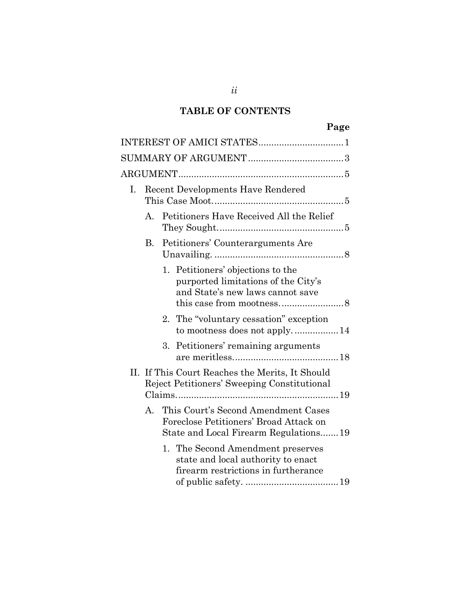# **TABLE OF CONTENTS**

| кv.<br>я |
|----------|
|----------|

| I. | <b>Recent Developments Have Rendered</b> |    |                                                                                                                        |  |  |  |
|----|------------------------------------------|----|------------------------------------------------------------------------------------------------------------------------|--|--|--|
|    | A.                                       |    | Petitioners Have Received All the Relief                                                                               |  |  |  |
|    | В.                                       |    | Petitioners' Counterarguments Are                                                                                      |  |  |  |
|    |                                          |    | 1. Petitioners' objections to the<br>purported limitations of the City's<br>and State's new laws cannot save           |  |  |  |
|    |                                          |    | 2. The "voluntary cessation" exception<br>to mootness does not apply14                                                 |  |  |  |
|    |                                          | 3. | Petitioners' remaining arguments                                                                                       |  |  |  |
|    |                                          |    | II. If This Court Reaches the Merits, It Should<br>Reject Petitioners' Sweeping Constitutional                         |  |  |  |
|    | A.                                       |    | This Court's Second Amendment Cases<br>Foreclose Petitioners' Broad Attack on<br>State and Local Firearm Regulations19 |  |  |  |
|    |                                          |    | 1. The Second Amendment preserves<br>state and local authority to enact<br>firearm restrictions in furtherance         |  |  |  |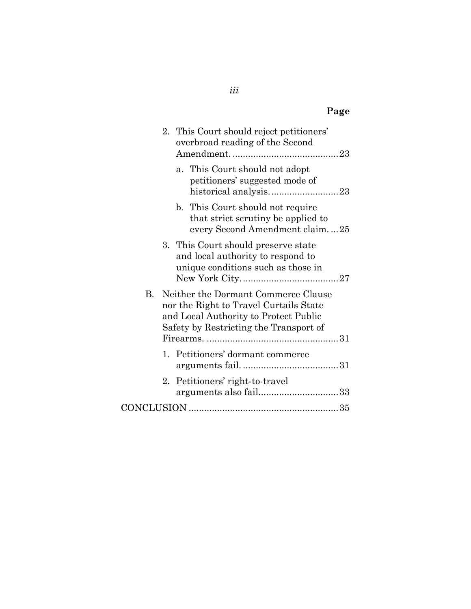# **Page**

|           |  | 2. This Court should reject petitioners'<br>overbroad reading of the Second                                                                                      |  |
|-----------|--|------------------------------------------------------------------------------------------------------------------------------------------------------------------|--|
|           |  | a. This Court should not adopt<br>petitioners' suggested mode of                                                                                                 |  |
|           |  | b. This Court should not require<br>that strict scrutiny be applied to<br>every Second Amendment claim25                                                         |  |
|           |  | 3. This Court should preserve state<br>and local authority to respond to<br>unique conditions such as those in                                                   |  |
| <b>B.</b> |  | Neither the Dormant Commerce Clause<br>nor the Right to Travel Curtails State<br>and Local Authority to Protect Public<br>Safety by Restricting the Transport of |  |
|           |  | 1. Petitioners' dormant commerce                                                                                                                                 |  |
|           |  | 2. Petitioners' right-to-travel<br>arguments also fail33                                                                                                         |  |
|           |  |                                                                                                                                                                  |  |

*iii*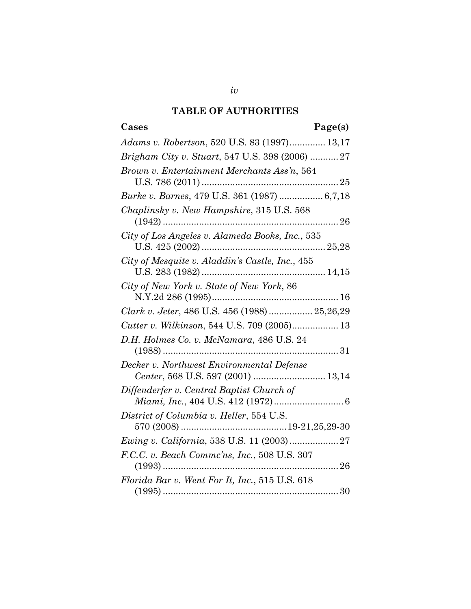## **TABLE OF AUTHORITIES**

# **Cases Page(s)**

| Adams v. Robertson, 520 U.S. 83 (1997) 13,17                                                                                                                                                        |
|-----------------------------------------------------------------------------------------------------------------------------------------------------------------------------------------------------|
| Brigham City v. Stuart, 547 U.S. 398 (2006) 27                                                                                                                                                      |
| Brown v. Entertainment Merchants Ass'n, 564                                                                                                                                                         |
| $\label{eq:25} \text{U.S. 786 (2011)}\dots\dots\dots\dots\dots\dots\dots\dots\dots\dots\dots\dots\dots \dots 25$ $\text{Burke~v. Barnes, 479 U.S. 361 (1987)}\dots\dots\dots\dots\dots\dots 6,7,18$ |
| Chaplinsky v. New Hampshire, 315 U.S. 568                                                                                                                                                           |
| City of Los Angeles v. Alameda Books, Inc., 535                                                                                                                                                     |
| City of Mesquite v. Aladdin's Castle, Inc., 455                                                                                                                                                     |
| City of New York v. State of New York, 86                                                                                                                                                           |
| Clark v. Jeter, 486 U.S. 456 (1988)  25,26,29                                                                                                                                                       |
| Cutter v. Wilkinson, 544 U.S. 709 (2005) 13                                                                                                                                                         |
| D.H. Holmes Co. v. McNamara, 486 U.S. 24                                                                                                                                                            |
| Decker v. Northwest Environmental Defense<br>Center, 568 U.S. 597 (2001)  13,14                                                                                                                     |
| Diffenderfer v. Central Baptist Church of                                                                                                                                                           |
| District of Columbia v. Heller, 554 U.S.                                                                                                                                                            |
|                                                                                                                                                                                                     |
| F.C.C. v. Beach Commc'ns, Inc., 508 U.S. 307                                                                                                                                                        |
| Florida Bar v. Went For It, Inc., 515 U.S. 618                                                                                                                                                      |
|                                                                                                                                                                                                     |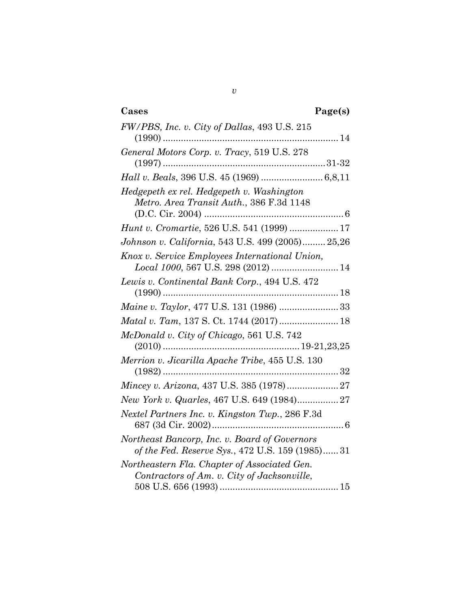| Cases<br>Page(s)                                                                                 |
|--------------------------------------------------------------------------------------------------|
| FW/PBS, Inc. v. City of Dallas, 493 U.S. 215                                                     |
| General Motors Corp. v. Tracy, 519 U.S. 278                                                      |
|                                                                                                  |
| Hedgepeth ex rel. Hedgepeth v. Washington<br>Metro. Area Transit Auth., 386 F.3d 1148            |
| Hunt v. Cromartie, 526 U.S. 541 (1999)  17                                                       |
| Johnson v. California, 543 U.S. 499 (2005) 25,26                                                 |
| Knox v. Service Employees International Union,<br>Local 1000, 567 U.S. 298 (2012)  14            |
| Lewis v. Continental Bank Corp., 494 U.S. 472                                                    |
|                                                                                                  |
|                                                                                                  |
| McDonald v. City of Chicago, 561 U.S. 742                                                        |
| Merrion v. Jicarilla Apache Tribe, 455 U.S. 130                                                  |
| Mincey v. Arizona, 437 U.S. 385 (1978) 27                                                        |
| New York v. Quarles, 467 U.S. 649 (1984)27                                                       |
| Nextel Partners Inc. v. Kingston Twp., 286 F.3d                                                  |
| Northeast Bancorp, Inc. v. Board of Governors<br>of the Fed. Reserve Sys., 472 U.S. 159 (1985)31 |
| Northeastern Fla. Chapter of Associated Gen.<br>Contractors of Am. v. City of Jacksonville,      |

*v*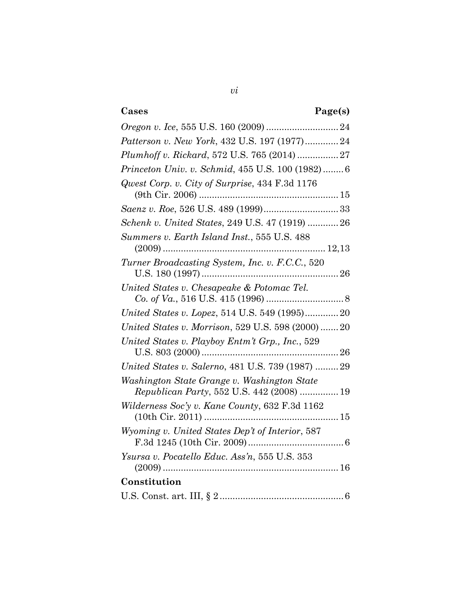# **Cases Page(s)**

| Patterson v. New York, 432 U.S. 197 (1977)24                                             |
|------------------------------------------------------------------------------------------|
| Plumhoff v. Rickard, 572 U.S. 765 (2014)  27                                             |
| Princeton Univ. v. Schmid, 455 U.S. 100 (1982) 6                                         |
| Qwest Corp. v. City of Surprise, 434 F.3d 1176                                           |
|                                                                                          |
| Schenk v. United States, 249 U.S. 47 (1919)  26                                          |
| Summers v. Earth Island Inst., 555 U.S. 488                                              |
| Turner Broadcasting System, Inc. v. F.C.C., 520                                          |
| United States v. Chesapeake & Potomac Tel.                                               |
| United States v. Lopez, 514 U.S. 549 (1995)20                                            |
| United States v. Morrison, 529 U.S. 598 (2000) 20                                        |
| United States v. Playboy Entm't Grp., Inc., 529                                          |
| United States v. Salerno, 481 U.S. 739 (1987)  29                                        |
| Washington State Grange v. Washington State<br>Republican Party, 552 U.S. 442 (2008)  19 |
| Wilderness Soc'y v. Kane County, 632 F.3d 1162                                           |
| Wyoming v. United States Dep't of Interior, 587                                          |
| Ysursa v. Pocatello Educ. Ass'n, 555 U.S. 353                                            |
| Constitution                                                                             |
|                                                                                          |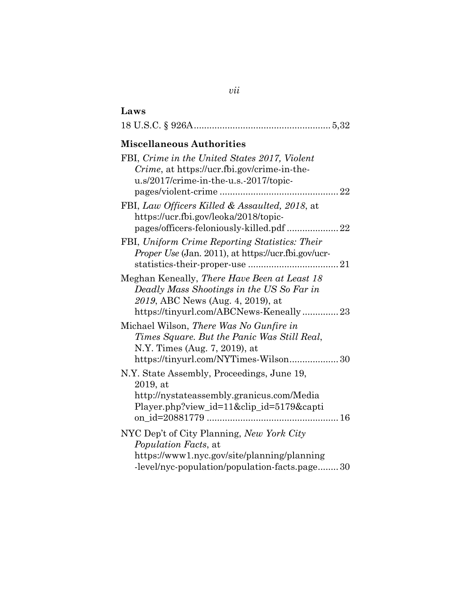# **Laws**

|--|--|--|--|--|

## **Miscellaneous Authorities**

| FBI, Crime in the United States 2017, Violent                                         |
|---------------------------------------------------------------------------------------|
| Crime, at https://ucr.fbi.gov/crime-in-the-<br>u.s/2017/crime-in-the-u.s.-2017/topic- |
|                                                                                       |
| FBI, Law Officers Killed & Assaulted, 2018, at                                        |
| https://ucr.fbi.gov/leoka/2018/topic-                                                 |
| pages/officers-feloniously-killed.pdf  22                                             |
| FBI, Uniform Crime Reporting Statistics: Their                                        |
| <i>Proper Use</i> (Jan. 2011), at https://ucr.fbi.gov/ucr-                            |
|                                                                                       |
| Meghan Keneally, There Have Been at Least 18                                          |
| Deadly Mass Shootings in the US So Far in                                             |
| 2019, ABC News (Aug. 4, 2019), at<br>https://tinyurl.com/ABCNews-Keneally23           |
| Michael Wilson, There Was No Gunfire in                                               |
| Times Square. But the Panic Was Still Real,                                           |
| N.Y. Times (Aug. 7, 2019), at                                                         |
| https://tinyurl.com/NYTimes-Wilson 30                                                 |
| N.Y. State Assembly, Proceedings, June 19,                                            |
| 2019, at                                                                              |
| http://nystateassembly.granicus.com/Media                                             |
| Player.php?view_id=11&clip_id=5179&capti                                              |
|                                                                                       |
| NYC Dep't of City Planning, New York City                                             |
| <i>Population Facts, at</i>                                                           |
| https://www1.nyc.gov/site/planning/planning                                           |
| -level/nyc-population/population-facts.page 30                                        |

## *vii*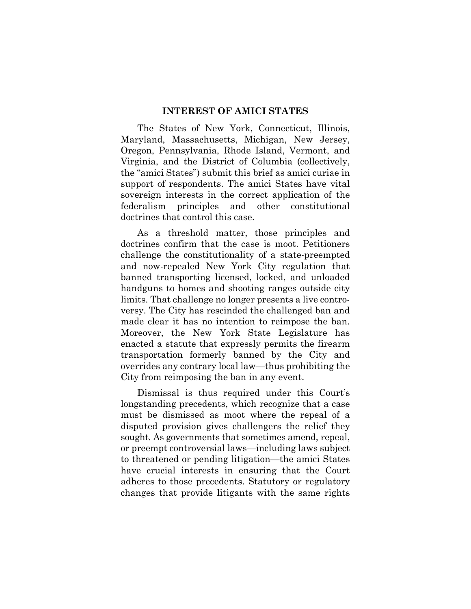#### **INTEREST OF AMICI STATES**

<span id="page-8-0"></span>The States of New York, Connecticut, Illinois, Maryland, Massachusetts, Michigan, New Jersey, Oregon, Pennsylvania, Rhode Island, Vermont, and Virginia, and the District of Columbia (collectively, the "amici States") submit this brief as amici curiae in support of respondents. The amici States have vital sovereign interests in the correct application of the federalism principles and other constitutional doctrines that control this case.

As a threshold matter, those principles and doctrines confirm that the case is moot. Petitioners challenge the constitutionality of a state-preempted and now-repealed New York City regulation that banned transporting licensed, locked, and unloaded handguns to homes and shooting ranges outside city limits. That challenge no longer presents a live controversy. The City has rescinded the challenged ban and made clear it has no intention to reimpose the ban. Moreover, the New York State Legislature has enacted a statute that expressly permits the firearm transportation formerly banned by the City and overrides any contrary local law—thus prohibiting the City from reimposing the ban in any event.

Dismissal is thus required under this Court's longstanding precedents, which recognize that a case must be dismissed as moot where the repeal of a disputed provision gives challengers the relief they sought. As governments that sometimes amend, repeal, or preempt controversial laws—including laws subject to threatened or pending litigation—the amici States have crucial interests in ensuring that the Court adheres to those precedents. Statutory or regulatory changes that provide litigants with the same rights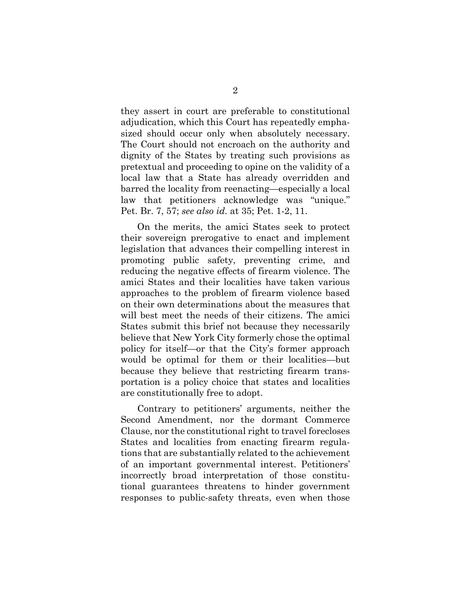they assert in court are preferable to constitutional adjudication, which this Court has repeatedly emphasized should occur only when absolutely necessary. The Court should not encroach on the authority and dignity of the States by treating such provisions as pretextual and proceeding to opine on the validity of a local law that a State has already overridden and barred the locality from reenacting—especially a local law that petitioners acknowledge was "unique." Pet. Br. 7, 57; *see also id.* at 35; Pet. 1-2, 11.

On the merits, the amici States seek to protect their sovereign prerogative to enact and implement legislation that advances their compelling interest in promoting public safety, preventing crime, and reducing the negative effects of firearm violence. The amici States and their localities have taken various approaches to the problem of firearm violence based on their own determinations about the measures that will best meet the needs of their citizens. The amici States submit this brief not because they necessarily believe that New York City formerly chose the optimal policy for itself—or that the City's former approach would be optimal for them or their localities—but because they believe that restricting firearm transportation is a policy choice that states and localities are constitutionally free to adopt.

Contrary to petitioners' arguments, neither the Second Amendment, nor the dormant Commerce Clause, nor the constitutional right to travel forecloses States and localities from enacting firearm regulations that are substantially related to the achievement of an important governmental interest. Petitioners' incorrectly broad interpretation of those constitutional guarantees threatens to hinder government responses to public-safety threats, even when those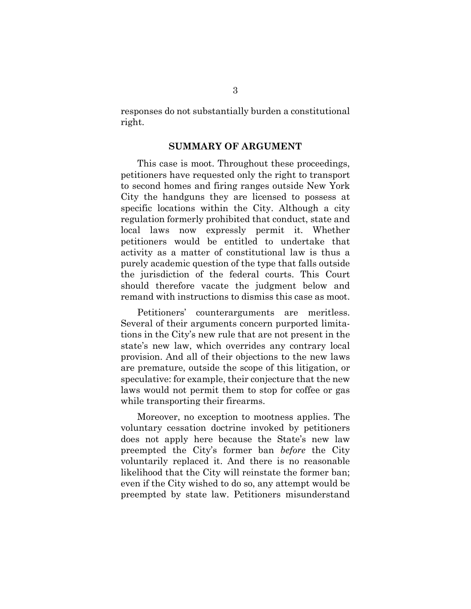<span id="page-10-0"></span>responses do not substantially burden a constitutional right.

#### **SUMMARY OF ARGUMENT**

This case is moot. Throughout these proceedings, petitioners have requested only the right to transport to second homes and firing ranges outside New York City the handguns they are licensed to possess at specific locations within the City. Although a city regulation formerly prohibited that conduct, state and local laws now expressly permit it. Whether petitioners would be entitled to undertake that activity as a matter of constitutional law is thus a purely academic question of the type that falls outside the jurisdiction of the federal courts. This Court should therefore vacate the judgment below and remand with instructions to dismiss this case as moot.

Petitioners' counterarguments are meritless. Several of their arguments concern purported limitations in the City's new rule that are not present in the state's new law, which overrides any contrary local provision. And all of their objections to the new laws are premature, outside the scope of this litigation, or speculative: for example, their conjecture that the new laws would not permit them to stop for coffee or gas while transporting their firearms.

Moreover, no exception to mootness applies. The voluntary cessation doctrine invoked by petitioners does not apply here because the State's new law preempted the City's former ban *before* the City voluntarily replaced it. And there is no reasonable likelihood that the City will reinstate the former ban; even if the City wished to do so, any attempt would be preempted by state law. Petitioners misunderstand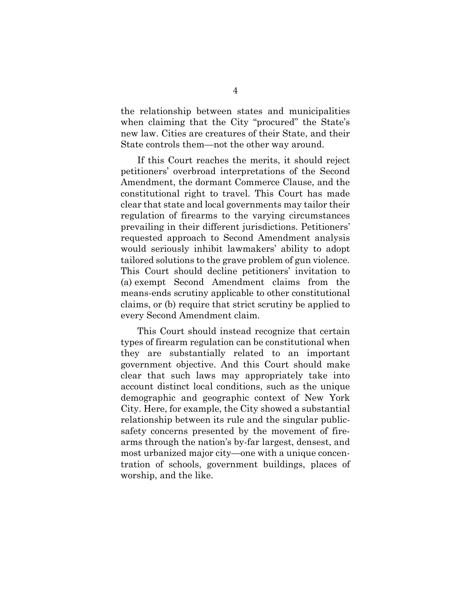the relationship between states and municipalities when claiming that the City "procured" the State's new law. Cities are creatures of their State, and their State controls them—not the other way around.

If this Court reaches the merits, it should reject petitioners' overbroad interpretations of the Second Amendment, the dormant Commerce Clause, and the constitutional right to travel. This Court has made clear that state and local governments may tailor their regulation of firearms to the varying circumstances prevailing in their different jurisdictions. Petitioners' requested approach to Second Amendment analysis would seriously inhibit lawmakers' ability to adopt tailored solutions to the grave problem of gun violence. This Court should decline petitioners' invitation to (a) exempt Second Amendment claims from the means-ends scrutiny applicable to other constitutional claims, or (b) require that strict scrutiny be applied to every Second Amendment claim.

This Court should instead recognize that certain types of firearm regulation can be constitutional when they are substantially related to an important government objective. And this Court should make clear that such laws may appropriately take into account distinct local conditions, such as the unique demographic and geographic context of New York City. Here, for example, the City showed a substantial relationship between its rule and the singular publicsafety concerns presented by the movement of firearms through the nation's by-far largest, densest, and most urbanized major city—one with a unique concentration of schools, government buildings, places of worship, and the like.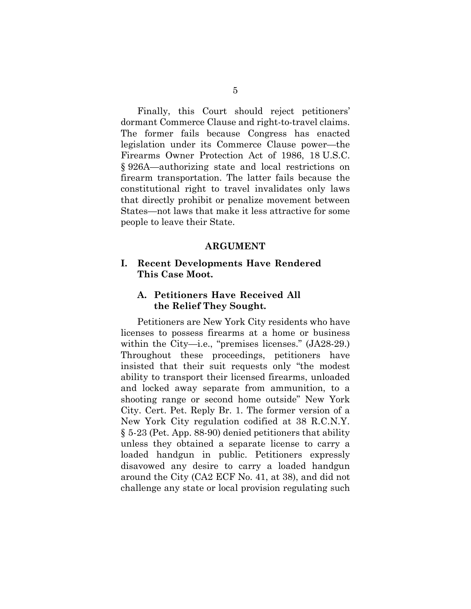Finally, this Court should reject petitioners' dormant Commerce Clause and right-to-travel claims. The former fails because Congress has enacted legislation under its Commerce Clause power—the Firearms Owner Protection Act of 1986, 18 U.S.C. § 926A—authorizing state and local restrictions on firearm transportation. The latter fails because the constitutional right to travel invalidates only laws that directly prohibit or penalize movement between States—not laws that make it less attractive for some people to leave their State.

#### **ARGUMENT**

#### <span id="page-12-1"></span><span id="page-12-0"></span>**I. Recent Developments Have Rendered This Case Moot.**

#### <span id="page-12-2"></span>**A. Petitioners Have Received All the Relief They Sought.**

Petitioners are New York City residents who have licenses to possess firearms at a home or business within the City—i.e., "premises licenses." (JA28-29.) Throughout these proceedings, petitioners have insisted that their suit requests only "the modest ability to transport their licensed firearms, unloaded and locked away separate from ammunition, to a shooting range or second home outside" New York City. Cert. Pet. Reply Br. 1. The former version of a New York City regulation codified at 38 R.C.N.Y. § 5-23 (Pet. App. 88-90) denied petitioners that ability unless they obtained a separate license to carry a loaded handgun in public. Petitioners expressly disavowed any desire to carry a loaded handgun around the City (CA2 ECF No. 41, at 38), and did not challenge any state or local provision regulating such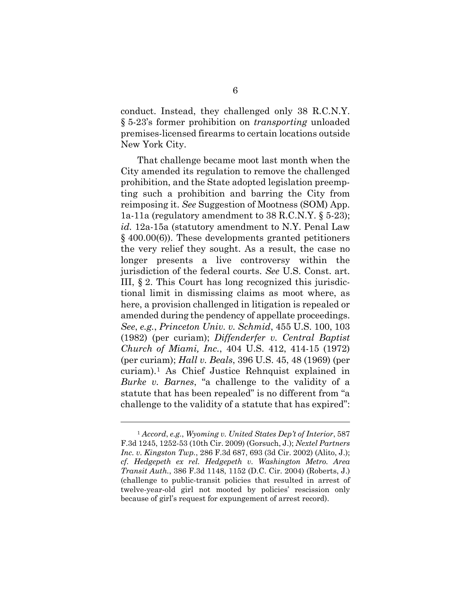conduct. Instead, they challenged only 38 R.C.N.Y. § 5-23's former prohibition on *transporting* unloaded premises-licensed firearms to certain locations outside New York City.

That challenge became moot last month when the City amended its regulation to remove the challenged prohibition, and the State adopted legislation preempting such a prohibition and barring the City from reimposing it. *See* Suggestion of Mootness (SOM) App. 1a-11a (regulatory amendment to 38 R.C.N.Y. § 5-23); *id.* 12a-15a (statutory amendment to N.Y. Penal Law § 400.00(6)). These developments granted petitioners the very relief they sought. As a result, the case no longer presents a live controversy within the jurisdiction of the federal courts. *See* U.S. Const. art. III, § 2. This Court has long recognized this jurisdictional limit in dismissing claims as moot where, as here, a provision challenged in litigation is repealed or amended during the pendency of appellate proceedings. *See*, *e.g.*, *Princeton Univ. v. Schmid*, 455 U.S. 100, 103 (1982) (per curiam); *Diffenderfer v. Central Baptist Church of Miami, Inc.*, 404 U.S. 412, 414-15 (1972) (per curiam); *Hall v. Beals*, 396 U.S. 45, 48 (1969) (per curiam).[1](#page-13-0) As Chief Justice Rehnquist explained in *Burke v. Barnes*, "a challenge to the validity of a statute that has been repealed" is no different from "a challenge to the validity of a statute that has expired":

 $\overline{a}$ 

<span id="page-13-0"></span><sup>1</sup> *Accord*, *e.g.*, *Wyoming v. United States Dep't of Interior*, 587 F.3d 1245, 1252-53 (10th Cir. 2009) (Gorsuch, J.); *Nextel Partners Inc. v. Kingston Twp.*, 286 F.3d 687, 693 (3d Cir. 2002) (Alito, J.); *cf. Hedgepeth ex rel. Hedgepeth v. Washington Metro. Area Transit Auth.*, 386 F.3d 1148, 1152 (D.C. Cir. 2004) (Roberts, J.) (challenge to public-transit policies that resulted in arrest of twelve-year-old girl not mooted by policies' rescission only because of girl's request for expungement of arrest record).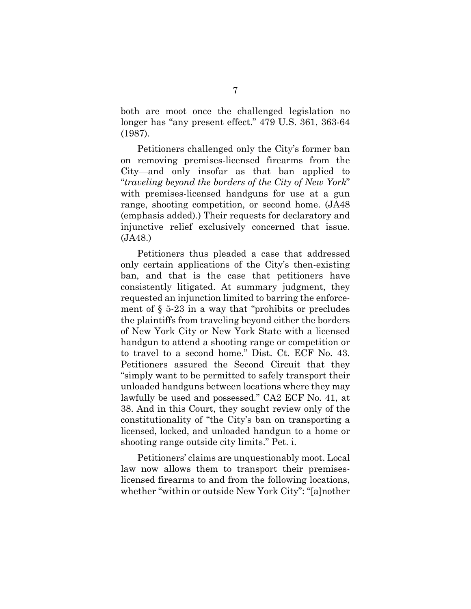both are moot once the challenged legislation no longer has "any present effect." 479 U.S. 361, 363-64 (1987).

Petitioners challenged only the City's former ban on removing premises-licensed firearms from the City—and only insofar as that ban applied to "*traveling beyond the borders of the City of New York*" with premises-licensed handguns for use at a gun range, shooting competition, or second home. (JA48 (emphasis added).) Their requests for declaratory and injunctive relief exclusively concerned that issue. (JA48.)

Petitioners thus pleaded a case that addressed only certain applications of the City's then-existing ban, and that is the case that petitioners have consistently litigated. At summary judgment, they requested an injunction limited to barring the enforcement of  $\S$  5-23 in a way that "prohibits or precludes" the plaintiffs from traveling beyond either the borders of New York City or New York State with a licensed handgun to attend a shooting range or competition or to travel to a second home." Dist. Ct. ECF No. 43. Petitioners assured the Second Circuit that they "simply want to be permitted to safely transport their unloaded handguns between locations where they may lawfully be used and possessed." CA2 ECF No. 41, at 38. And in this Court, they sought review only of the constitutionality of "the City's ban on transporting a licensed, locked, and unloaded handgun to a home or shooting range outside city limits." Pet. i.

Petitioners' claims are unquestionably moot. Local law now allows them to transport their premiseslicensed firearms to and from the following locations, whether "within or outside New York City": "[a]nother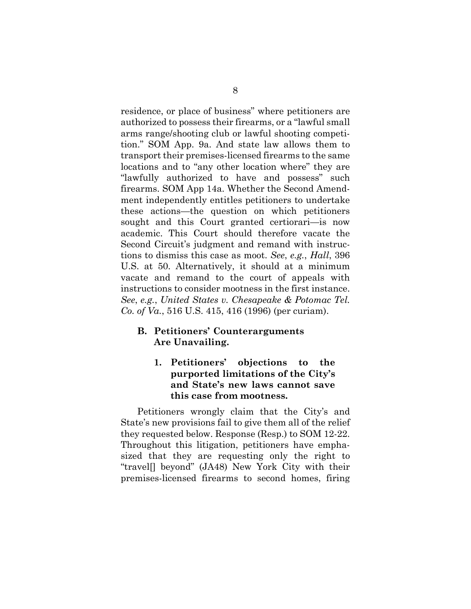residence, or place of business" where petitioners are authorized to possess their firearms, or a "lawful small arms range/shooting club or lawful shooting competition." SOM App. 9a. And state law allows them to transport their premises-licensed firearms to the same locations and to "any other location where" they are "lawfully authorized to have and possess" such firearms. SOM App 14a. Whether the Second Amendment independently entitles petitioners to undertake these actions—the question on which petitioners sought and this Court granted certiorari—is now academic. This Court should therefore vacate the Second Circuit's judgment and remand with instructions to dismiss this case as moot. *See*, *e.g.*, *Hall*, 396 U.S. at 50. Alternatively, it should at a minimum vacate and remand to the court of appeals with instructions to consider mootness in the first instance. *See*, *e.g.*, *United States v. Chesapeake & Potomac Tel. Co. of Va.*, 516 U.S. 415, 416 (1996) (per curiam).

#### <span id="page-15-1"></span><span id="page-15-0"></span>**B. Petitioners' Counterarguments Are Unavailing.**

**1. Petitioners' objections to the purported limitations of the City's and State's new laws cannot save this case from mootness.** 

Petitioners wrongly claim that the City's and State's new provisions fail to give them all of the relief they requested below. Response (Resp.) to SOM 12-22. Throughout this litigation, petitioners have emphasized that they are requesting only the right to "travel[] beyond" (JA48) New York City with their premises-licensed firearms to second homes, firing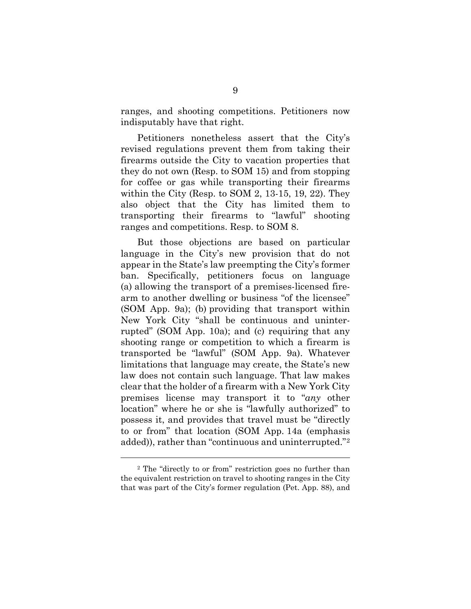ranges, and shooting competitions. Petitioners now indisputably have that right.

Petitioners nonetheless assert that the City's revised regulations prevent them from taking their firearms outside the City to vacation properties that they do not own (Resp. to SOM 15) and from stopping for coffee or gas while transporting their firearms within the City (Resp. to SOM 2, 13-15, 19, 22). They also object that the City has limited them to transporting their firearms to "lawful" shooting ranges and competitions. Resp. to SOM 8.

But those objections are based on particular language in the City's new provision that do not appear in the State's law preempting the City's former ban. Specifically, petitioners focus on language (a) allowing the transport of a premises-licensed firearm to another dwelling or business "of the licensee" (SOM App. 9a); (b) providing that transport within New York City "shall be continuous and uninterrupted" (SOM App. 10a); and (c) requiring that any shooting range or competition to which a firearm is transported be "lawful" (SOM App. 9a). Whatever limitations that language may create, the State's new law does not contain such language. That law makes clear that the holder of a firearm with a New York City premises license may transport it to "*any* other location" where he or she is "lawfully authorized" to possess it, and provides that travel must be "directly to or from" that location (SOM App. 14a (emphasis added)), rather than "continuous and uninterrupted."[2](#page-16-0)

 $\overline{a}$ 

<span id="page-16-0"></span><sup>2</sup> The "directly to or from" restriction goes no further than the equivalent restriction on travel to shooting ranges in the City that was part of the City's former regulation (Pet. App. 88), and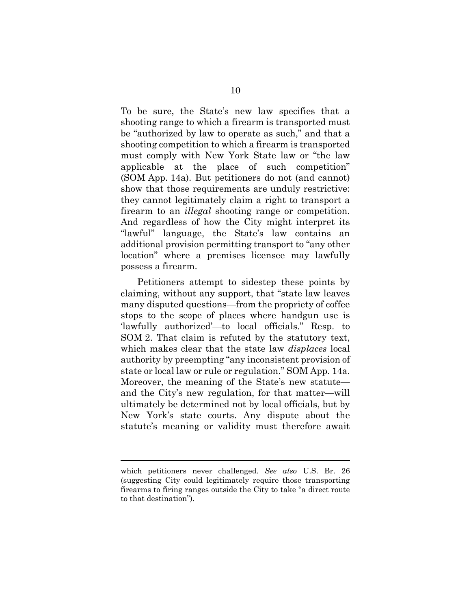To be sure, the State's new law specifies that a shooting range to which a firearm is transported must be "authorized by law to operate as such," and that a shooting competition to which a firearm is transported must comply with New York State law or "the law applicable at the place of such competition" (SOM App. 14a). But petitioners do not (and cannot) show that those requirements are unduly restrictive: they cannot legitimately claim a right to transport a firearm to an *illegal* shooting range or competition. And regardless of how the City might interpret its "lawful" language, the State's law contains an additional provision permitting transport to "any other location" where a premises licensee may lawfully possess a firearm.

Petitioners attempt to sidestep these points by claiming, without any support, that "state law leaves many disputed questions—from the propriety of coffee stops to the scope of places where handgun use is 'lawfully authorized'—to local officials." Resp. to SOM 2. That claim is refuted by the statutory text, which makes clear that the state law *displaces* local authority by preempting "any inconsistent provision of state or local law or rule or regulation." SOM App. 14a. Moreover, the meaning of the State's new statute and the City's new regulation, for that matter—will ultimately be determined not by local officials, but by New York's state courts. Any dispute about the statute's meaning or validity must therefore await

l

which petitioners never challenged. *See also* U.S. Br. 26 (suggesting City could legitimately require those transporting firearms to firing ranges outside the City to take "a direct route to that destination").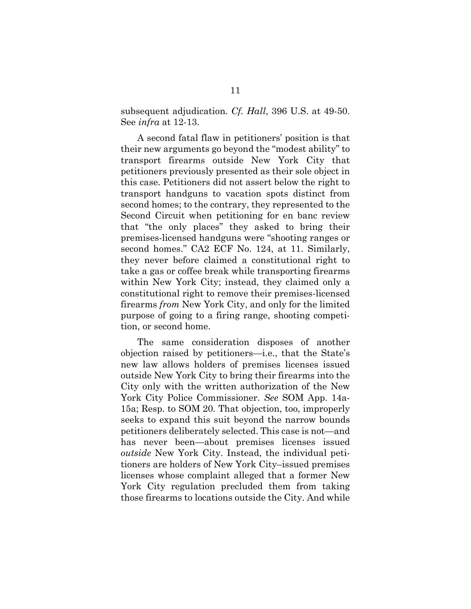subsequent adjudication. *Cf. Hall*, 396 U.S. at 49-50. See *infra* at 12-13.

A second fatal flaw in petitioners' position is that their new arguments go beyond the "modest ability" to transport firearms outside New York City that petitioners previously presented as their sole object in this case. Petitioners did not assert below the right to transport handguns to vacation spots distinct from second homes; to the contrary, they represented to the Second Circuit when petitioning for en banc review that "the only places" they asked to bring their premises-licensed handguns were "shooting ranges or second homes." CA2 ECF No. 124, at 11. Similarly, they never before claimed a constitutional right to take a gas or coffee break while transporting firearms within New York City; instead, they claimed only a constitutional right to remove their premises-licensed firearms *from* New York City, and only for the limited purpose of going to a firing range, shooting competition, or second home.

The same consideration disposes of another objection raised by petitioners—i.e., that the State's new law allows holders of premises licenses issued outside New York City to bring their firearms into the City only with the written authorization of the New York City Police Commissioner. *See* SOM App. 14a-15a; Resp. to SOM 20. That objection, too, improperly seeks to expand this suit beyond the narrow bounds petitioners deliberately selected. This case is not—and has never been—about premises licenses issued *outside* New York City. Instead, the individual petitioners are holders of New York City–issued premises licenses whose complaint alleged that a former New York City regulation precluded them from taking those firearms to locations outside the City. And while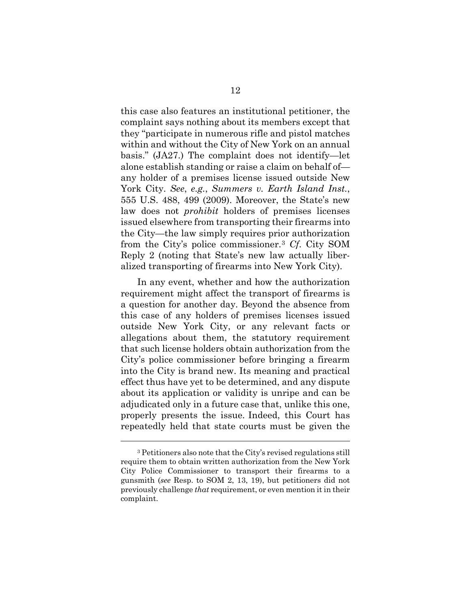this case also features an institutional petitioner, the complaint says nothing about its members except that they "participate in numerous rifle and pistol matches within and without the City of New York on an annual basis." (JA27.) The complaint does not identify—let alone establish standing or raise a claim on behalf of any holder of a premises license issued outside New York City. *See*, *e.g.*, *Summers v. Earth Island Inst.*, 555 U.S. 488, 499 (2009). Moreover, the State's new law does not *prohibit* holders of premises licenses issued elsewhere from transporting their firearms into the City—the law simply requires prior authorization from the City's police commissioner.[3](#page-19-0) *Cf*. City SOM Reply 2 (noting that State's new law actually liberalized transporting of firearms into New York City).

In any event, whether and how the authorization requirement might affect the transport of firearms is a question for another day. Beyond the absence from this case of any holders of premises licenses issued outside New York City, or any relevant facts or allegations about them, the statutory requirement that such license holders obtain authorization from the City's police commissioner before bringing a firearm into the City is brand new. Its meaning and practical effect thus have yet to be determined, and any dispute about its application or validity is unripe and can be adjudicated only in a future case that, unlike this one, properly presents the issue. Indeed, this Court has repeatedly held that state courts must be given the

l

<span id="page-19-0"></span><sup>3</sup> Petitioners also note that the City's revised regulations still require them to obtain written authorization from the New York City Police Commissioner to transport their firearms to a gunsmith (*see* Resp. to SOM 2, 13, 19), but petitioners did not previously challenge *that* requirement, or even mention it in their complaint.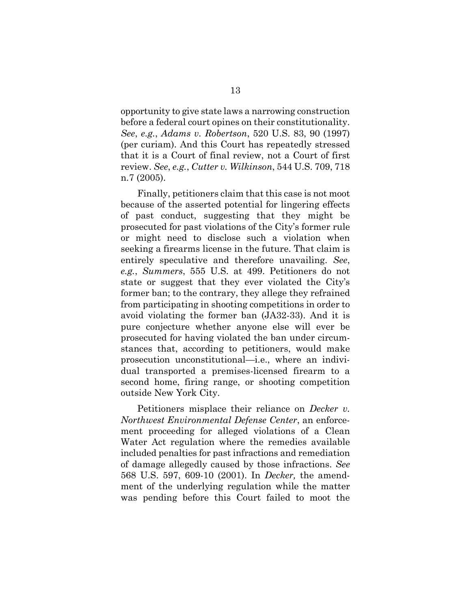opportunity to give state laws a narrowing construction before a federal court opines on their constitutionality. *See*, *e.g.*, *Adams v. Robertson*, 520 U.S. 83, 90 (1997) (per curiam). And this Court has repeatedly stressed that it is a Court of final review, not a Court of first review. *See*, *e.g.*, *Cutter v. Wilkinson*, 544 U.S. 709, 718 n.7 (2005).

Finally, petitioners claim that this case is not moot because of the asserted potential for lingering effects of past conduct, suggesting that they might be prosecuted for past violations of the City's former rule or might need to disclose such a violation when seeking a firearms license in the future. That claim is entirely speculative and therefore unavailing. *See*, *e.g.*, *Summers*, 555 U.S. at 499. Petitioners do not state or suggest that they ever violated the City's former ban; to the contrary, they allege they refrained from participating in shooting competitions in order to avoid violating the former ban (JA32-33). And it is pure conjecture whether anyone else will ever be prosecuted for having violated the ban under circumstances that, according to petitioners, would make prosecution unconstitutional—i.e., where an individual transported a premises-licensed firearm to a second home, firing range, or shooting competition outside New York City.

Petitioners misplace their reliance on *Decker v. Northwest Environmental Defense Center*, an enforcement proceeding for alleged violations of a Clean Water Act regulation where the remedies available included penalties for past infractions and remediation of damage allegedly caused by those infractions. *See* 568 U.S. 597, 609-10 (2001). In *Decker,* the amendment of the underlying regulation while the matter was pending before this Court failed to moot the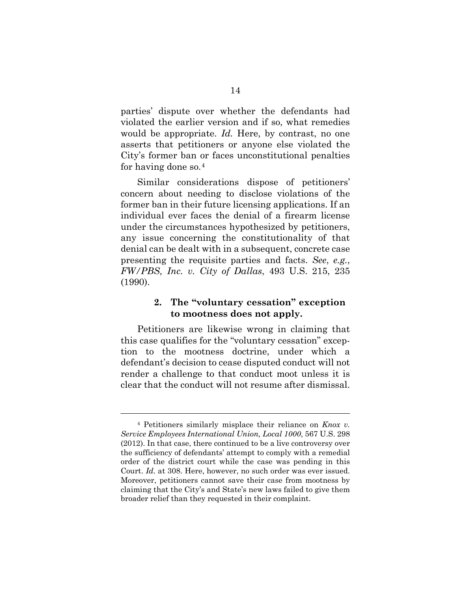parties' dispute over whether the defendants had violated the earlier version and if so, what remedies would be appropriate. *Id.* Here, by contrast, no one asserts that petitioners or anyone else violated the City's former ban or faces unconstitutional penalties for having done so.[4](#page-21-1)

Similar considerations dispose of petitioners' concern about needing to disclose violations of the former ban in their future licensing applications. If an individual ever faces the denial of a firearm license under the circumstances hypothesized by petitioners, any issue concerning the constitutionality of that denial can be dealt with in a subsequent, concrete case presenting the requisite parties and facts. *See*, *e.g.*, *FW/PBS, Inc. v. City of Dallas*, 493 U.S. 215, 235 (1990).

#### <span id="page-21-0"></span>**2. The "voluntary cessation" exception to mootness does not apply.**

Petitioners are likewise wrong in claiming that this case qualifies for the "voluntary cessation" exception to the mootness doctrine, under which a defendant's decision to cease disputed conduct will not render a challenge to that conduct moot unless it is clear that the conduct will not resume after dismissal.

l

<span id="page-21-1"></span><sup>4</sup> Petitioners similarly misplace their reliance on *Knox v. Service Employees International Union, Local 1000*, 567 U.S. 298 (2012). In that case, there continued to be a live controversy over the sufficiency of defendants' attempt to comply with a remedial order of the district court while the case was pending in this Court. *Id.* at 308. Here, however, no such order was ever issued. Moreover, petitioners cannot save their case from mootness by claiming that the City's and State's new laws failed to give them broader relief than they requested in their complaint.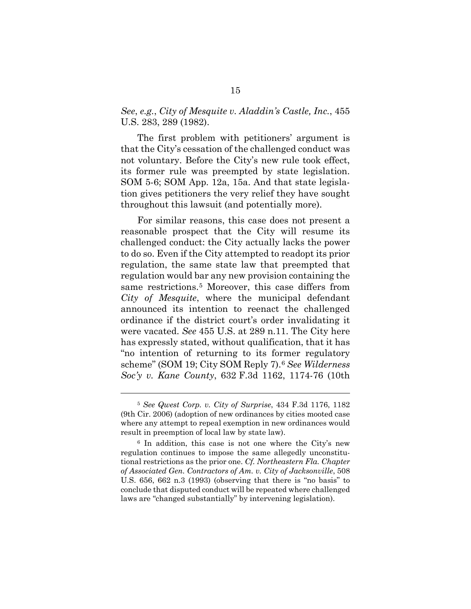#### *See*, *e.g.*, *City of Mesquite v. Aladdin's Castle, Inc.*, 455 U.S. 283, 289 (1982).

The first problem with petitioners' argument is that the City's cessation of the challenged conduct was not voluntary. Before the City's new rule took effect, its former rule was preempted by state legislation. SOM 5-6; SOM App. 12a, 15a. And that state legislation gives petitioners the very relief they have sought throughout this lawsuit (and potentially more).

For similar reasons, this case does not present a reasonable prospect that the City will resume its challenged conduct: the City actually lacks the power to do so. Even if the City attempted to readopt its prior regulation, the same state law that preempted that regulation would bar any new provision containing the same restrictions.[5](#page-22-0) Moreover, this case differs from *City of Mesquite*, where the municipal defendant announced its intention to reenact the challenged ordinance if the district court's order invalidating it were vacated. *See* 455 U.S. at 289 n.11. The City here has expressly stated, without qualification, that it has "no intention of returning to its former regulatory scheme" (SOM 19; City SOM Reply 7).[6](#page-22-1) *See Wilderness Soc'y v. Kane County*, 632 F.3d 1162, 1174-76 (10th

 $\overline{a}$ 

<span id="page-22-0"></span><sup>5</sup> *See Qwest Corp. v. City of Surprise*, 434 F.3d 1176, 1182 (9th Cir. 2006) (adoption of new ordinances by cities mooted case where any attempt to repeal exemption in new ordinances would result in preemption of local law by state law).

<span id="page-22-1"></span><sup>6</sup> In addition, this case is not one where the City's new regulation continues to impose the same allegedly unconstitutional restrictions as the prior one. *Cf. Northeastern Fla. Chapter of Associated Gen. Contractors of Am. v. City of Jacksonville*, 508 U.S. 656, 662 n.3 (1993) (observing that there is "no basis" to conclude that disputed conduct will be repeated where challenged laws are "changed substantially" by intervening legislation).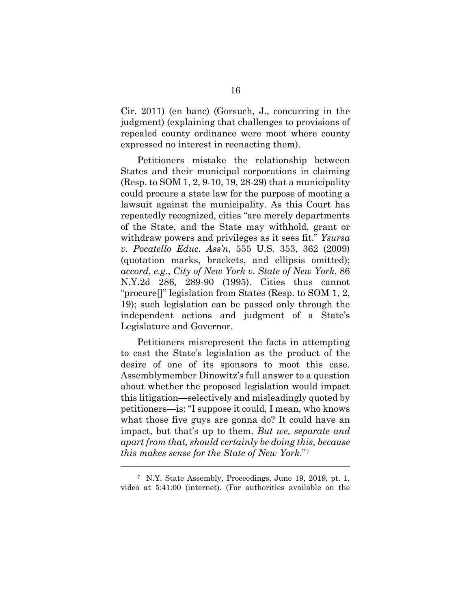Cir. 2011) (en banc) (Gorsuch, J., concurring in the judgment) (explaining that challenges to provisions of repealed county ordinance were moot where county expressed no interest in reenacting them).

Petitioners mistake the relationship between States and their municipal corporations in claiming (Resp. to SOM 1, 2, 9-10, 19, 28-29) that a municipality could procure a state law for the purpose of mooting a lawsuit against the municipality. As this Court has repeatedly recognized, cities "are merely departments of the State, and the State may withhold, grant or withdraw powers and privileges as it sees fit." *Ysursa v. Pocatello Educ. Ass'n*, 555 U.S. 353, 362 (2009) (quotation marks, brackets, and ellipsis omitted); *accord*, *e.g.*, *City of New York v. State of New York*, 86 N.Y.2d 286, 289-90 (1995). Cities thus cannot "procure[]" legislation from States (Resp. to SOM 1, 2, 19); such legislation can be passed only through the independent actions and judgment of a State's Legislature and Governor.

Petitioners misrepresent the facts in attempting to cast the State's legislation as the product of the desire of one of its sponsors to moot this case. Assemblymember Dinowitz's full answer to a question about whether the proposed legislation would impact this litigation—selectively and misleadingly quoted by petitioners—is: "I suppose it could, I mean, who knows what those five guys are gonna do? It could have an impact, but that's up to them. *But we, separate and apart from that, should certainly be doing this, because this makes sense for the State of New York*."[7](#page-23-0)

 $\overline{a}$ 

<span id="page-23-0"></span><sup>7</sup> N.Y. State Assembly, Proceedings, June 19, 2019, pt. 1, video at 5:41:00 (internet). (For authorities available on the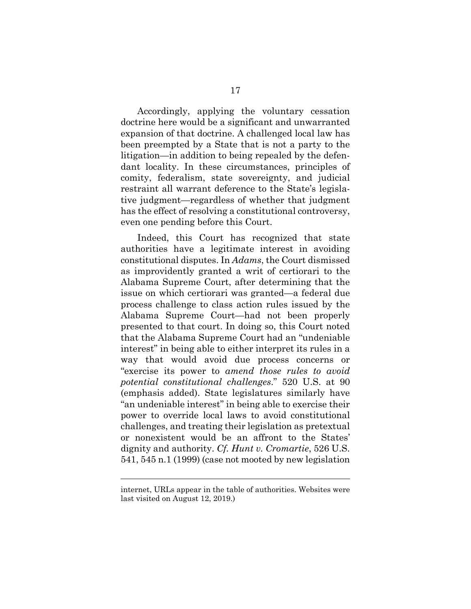Accordingly, applying the voluntary cessation doctrine here would be a significant and unwarranted expansion of that doctrine. A challenged local law has been preempted by a State that is not a party to the litigation—in addition to being repealed by the defendant locality. In these circumstances, principles of comity, federalism, state sovereignty, and judicial restraint all warrant deference to the State's legislative judgment—regardless of whether that judgment has the effect of resolving a constitutional controversy, even one pending before this Court.

Indeed, this Court has recognized that state authorities have a legitimate interest in avoiding constitutional disputes. In *Adams*, the Court dismissed as improvidently granted a writ of certiorari to the Alabama Supreme Court, after determining that the issue on which certiorari was granted—a federal due process challenge to class action rules issued by the Alabama Supreme Court—had not been properly presented to that court. In doing so, this Court noted that the Alabama Supreme Court had an "undeniable interest" in being able to either interpret its rules in a way that would avoid due process concerns or "exercise its power to *amend those rules to avoid potential constitutional challenges*." 520 U.S. at 90 (emphasis added). State legislatures similarly have "an undeniable interest" in being able to exercise their power to override local laws to avoid constitutional challenges, and treating their legislation as pretextual or nonexistent would be an affront to the States' dignity and authority. *Cf. Hunt v. Cromartie*, 526 U.S. 541, 545 n.1 (1999) (case not mooted by new legislation

l

internet, URLs appear in the table of authorities. Websites were last visited on August 12, 2019.)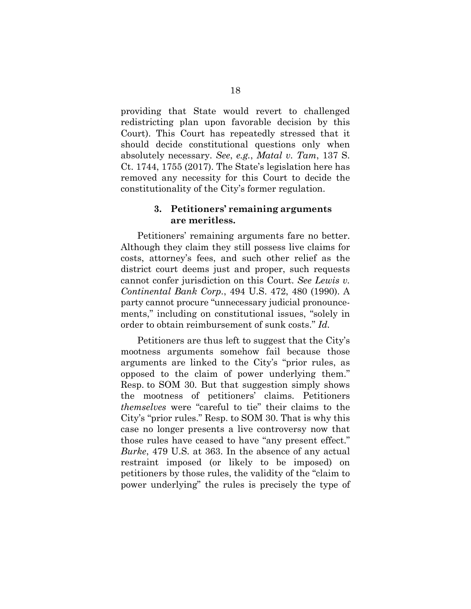providing that State would revert to challenged redistricting plan upon favorable decision by this Court). This Court has repeatedly stressed that it should decide constitutional questions only when absolutely necessary. *See*, *e.g.*, *Matal v. Tam*, 137 S. Ct. 1744, 1755 (2017). The State's legislation here has removed any necessity for this Court to decide the constitutionality of the City's former regulation.

#### <span id="page-25-0"></span>**3. Petitioners' remaining arguments are meritless.**

Petitioners' remaining arguments fare no better. Although they claim they still possess live claims for costs, attorney's fees, and such other relief as the district court deems just and proper, such requests cannot confer jurisdiction on this Court. *See Lewis v. Continental Bank Corp.*, 494 U.S. 472, 480 (1990). A party cannot procure "unnecessary judicial pronouncements," including on constitutional issues, "solely in order to obtain reimbursement of sunk costs." *Id.*

Petitioners are thus left to suggest that the City's mootness arguments somehow fail because those arguments are linked to the City's "prior rules, as opposed to the claim of power underlying them." Resp. to SOM 30. But that suggestion simply shows the mootness of petitioners' claims. Petitioners *themselves* were "careful to tie" their claims to the City's "prior rules." Resp. to SOM 30. That is why this case no longer presents a live controversy now that those rules have ceased to have "any present effect." *Burke*, 479 U.S. at 363. In the absence of any actual restraint imposed (or likely to be imposed) on petitioners by those rules, the validity of the "claim to power underlying" the rules is precisely the type of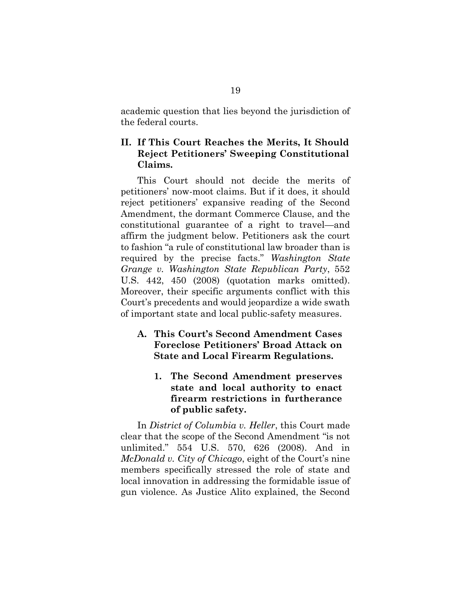academic question that lies beyond the jurisdiction of the federal courts.

### <span id="page-26-0"></span>**II. If This Court Reaches the Merits, It Should Reject Petitioners' Sweeping Constitutional Claims.**

This Court should not decide the merits of petitioners' now-moot claims. But if it does, it should reject petitioners' expansive reading of the Second Amendment, the dormant Commerce Clause, and the constitutional guarantee of a right to travel—and affirm the judgment below. Petitioners ask the court to fashion "a rule of constitutional law broader than is required by the precise facts." *Washington State Grange v. Washington State Republican Party*, 552 U.S. 442, 450 (2008) (quotation marks omitted). Moreover, their specific arguments conflict with this Court's precedents and would jeopardize a wide swath of important state and local public-safety measures.

### <span id="page-26-1"></span>**A. This Court's Second Amendment Cases Foreclose Petitioners' Broad Attack on State and Local Firearm Regulations.**

<span id="page-26-2"></span>**1. The Second Amendment preserves state and local authority to enact firearm restrictions in furtherance of public safety.** 

In *District of Columbia v. Heller*, this Court made clear that the scope of the Second Amendment "is not unlimited." 554 U.S. 570, 626 (2008). And in *McDonald v. City of Chicago*, eight of the Court's nine members specifically stressed the role of state and local innovation in addressing the formidable issue of gun violence. As Justice Alito explained, the Second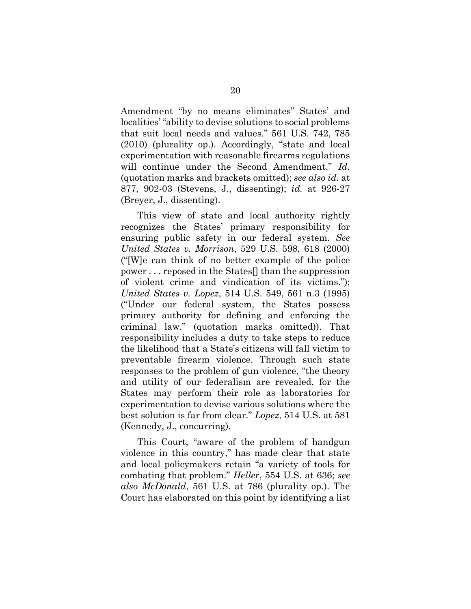Amendment "by no means eliminates" States' and localities' "ability to devise solutions to social problems that suit local needs and values." 561 U.S. 742, 785 (2010) (plurality op.). Accordingly, "state and local experimentation with reasonable firearms regulations will continue under the Second Amendment." *Id.* (quotation marks and brackets omitted); *see also id.* at 877, 902-03 (Stevens, J., dissenting); *id.* at 926-27 (Breyer, J., dissenting).

This view of state and local authority rightly recognizes the States' primary responsibility for ensuring public safety in our federal system. *See United States v. Morrison*, 529 U.S. 598, 618 (2000) ("[W]e can think of no better example of the police power . . . reposed in the States[] than the suppression of violent crime and vindication of its victims."); *United States v. Lopez*, 514 U.S. 549, 561 n.3 (1995) ("Under our federal system, the States possess primary authority for defining and enforcing the criminal law." (quotation marks omitted)). That responsibility includes a duty to take steps to reduce the likelihood that a State's citizens will fall victim to preventable firearm violence. Through such state responses to the problem of gun violence, "the theory and utility of our federalism are revealed, for the States may perform their role as laboratories for experimentation to devise various solutions where the best solution is far from clear." *Lopez*, 514 U.S. at 581 (Kennedy, J., concurring).

This Court, "aware of the problem of handgun violence in this country," has made clear that state and local policymakers retain "a variety of tools for combating that problem." *Heller*, 554 U.S. at 636; *see also McDonald*, 561 U.S. at 786 (plurality op.). The Court has elaborated on this point by identifying a list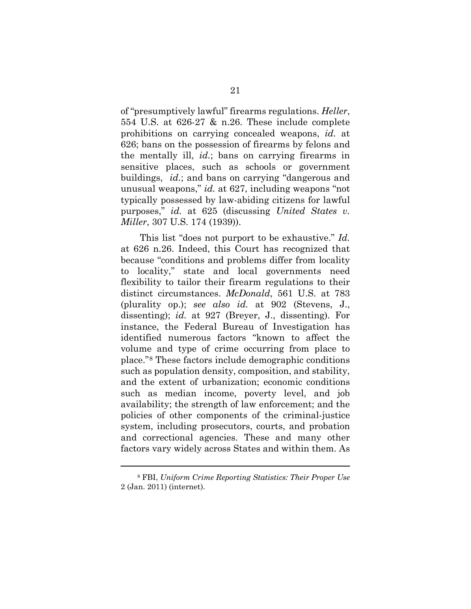of "presumptively lawful" firearms regulations. *Heller*, 554 U.S. at 626-27 & n.26. These include complete prohibitions on carrying concealed weapons, *id.* at 626; bans on the possession of firearms by felons and the mentally ill, *id.*; bans on carrying firearms in sensitive places, such as schools or government buildings, *id.*; and bans on carrying "dangerous and unusual weapons," *id.* at 627, including weapons "not typically possessed by law-abiding citizens for lawful purposes," *id.* at 625 (discussing *United States v. Miller*, 307 U.S. 174 (1939)).

This list "does not purport to be exhaustive." *Id.* at 626 n.26. Indeed, this Court has recognized that because "conditions and problems differ from locality to locality," state and local governments need flexibility to tailor their firearm regulations to their distinct circumstances. *McDonald*, 561 U.S. at 783 (plurality op.); *see also id.* at 902 (Stevens, J., dissenting); *id.* at 927 (Breyer, J., dissenting). For instance, the Federal Bureau of Investigation has identified numerous factors "known to affect the volume and type of crime occurring from place to place."[8](#page-28-0) These factors include demographic conditions such as population density, composition, and stability, and the extent of urbanization; economic conditions such as median income, poverty level, and job availability; the strength of law enforcement; and the policies of other components of the criminal-justice system, including prosecutors, courts, and probation and correctional agencies. These and many other factors vary widely across States and within them. As

 $\overline{a}$ 

<span id="page-28-0"></span><sup>8</sup> FBI, *Uniform Crime Reporting Statistics: Their Proper Use* 2 (Jan. 2011) (internet).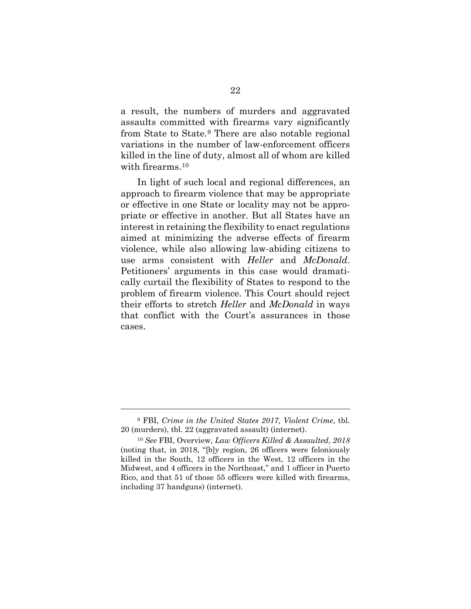a result, the numbers of murders and aggravated assaults committed with firearms vary significantly from State to State.[9](#page-29-0) There are also notable regional variations in the number of law-enforcement officers killed in the line of duty, almost all of whom are killed with firearms.<sup>[10](#page-29-1)</sup>

In light of such local and regional differences, an approach to firearm violence that may be appropriate or effective in one State or locality may not be appropriate or effective in another. But all States have an interest in retaining the flexibility to enact regulations aimed at minimizing the adverse effects of firearm violence, while also allowing law-abiding citizens to use arms consistent with *Heller* and *McDonald*. Petitioners' arguments in this case would dramatically curtail the flexibility of States to respond to the problem of firearm violence. This Court should reject their efforts to stretch *Heller* and *McDonald* in ways that conflict with the Court's assurances in those cases.

l

<span id="page-29-0"></span><sup>9</sup> FBI, *Crime in the United States 2017, Violent Crime*, tbl. 20 (murders), tbl. 22 (aggravated assault) (internet).

<span id="page-29-1"></span><sup>10</sup> *See* FBI, Overview, *Law Officers Killed & Assaulted, 2018* (noting that, in 2018, "[b]y region, 26 officers were feloniously killed in the South, 12 officers in the West, 12 officers in the Midwest, and 4 officers in the Northeast," and 1 officer in Puerto Rico, and that 51 of those 55 officers were killed with firearms, including 37 handguns) (internet).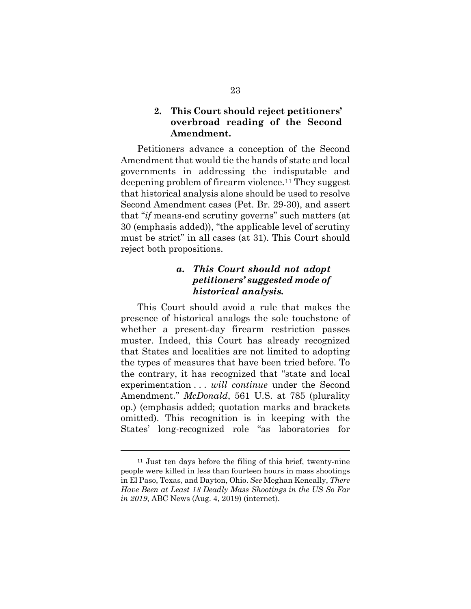#### <span id="page-30-0"></span>**2. This Court should reject petitioners' overbroad reading of the Second Amendment.**

Petitioners advance a conception of the Second Amendment that would tie the hands of state and local governments in addressing the indisputable and deepening problem of firearm violence.[11](#page-30-2) They suggest that historical analysis alone should be used to resolve Second Amendment cases (Pet. Br. 29-30), and assert that "*if* means-end scrutiny governs" such matters (at 30 (emphasis added)), "the applicable level of scrutiny must be strict" in all cases (at 31). This Court should reject both propositions.

### *a. This Court should not adopt petitioners' suggested mode of historical analysis.*

<span id="page-30-1"></span>This Court should avoid a rule that makes the presence of historical analogs the sole touchstone of whether a present-day firearm restriction passes muster. Indeed, this Court has already recognized that States and localities are not limited to adopting the types of measures that have been tried before. To the contrary, it has recognized that "state and local experimentation . . . *will continue* under the Second Amendment." *McDonald*, 561 U.S. at 785 (plurality op.) (emphasis added; quotation marks and brackets omitted). This recognition is in keeping with the States' long-recognized role "as laboratories for

l

<span id="page-30-2"></span><sup>11</sup> Just ten days before the filing of this brief, twenty-nine people were killed in less than fourteen hours in mass shootings in El Paso, Texas, and Dayton, Ohio. *See* Meghan Keneally, *There Have Been at Least 18 Deadly Mass Shootings in the US So Far in 2019*, ABC News (Aug. 4, 2019) (internet).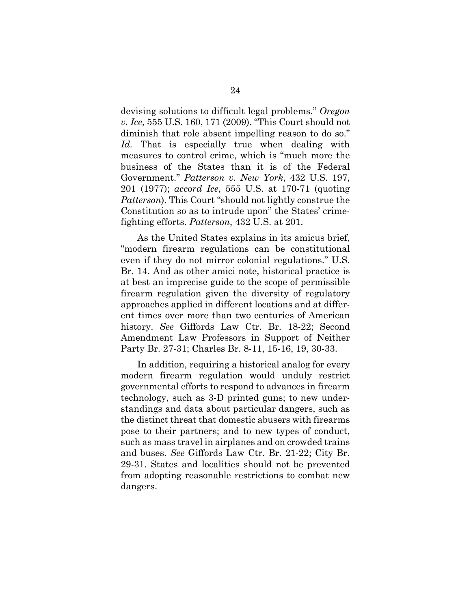devising solutions to difficult legal problems." *Oregon v. Ice*, 555 U.S. 160, 171 (2009). "This Court should not diminish that role absent impelling reason to do so." *Id.* That is especially true when dealing with measures to control crime, which is "much more the business of the States than it is of the Federal Government." *Patterson v. New York*, 432 U.S. 197, 201 (1977); *accord Ice*, 555 U.S. at 170-71 (quoting *Patterson*). This Court "should not lightly construe the Constitution so as to intrude upon" the States' crimefighting efforts. *Patterson*, 432 U.S. at 201.

As the United States explains in its amicus brief, "modern firearm regulations can be constitutional even if they do not mirror colonial regulations." U.S. Br. 14. And as other amici note, historical practice is at best an imprecise guide to the scope of permissible firearm regulation given the diversity of regulatory approaches applied in different locations and at different times over more than two centuries of American history. *See* Giffords Law Ctr. Br. 18-22; Second Amendment Law Professors in Support of Neither Party Br. 27-31; Charles Br. 8-11, 15-16, 19, 30-33.

In addition, requiring a historical analog for every modern firearm regulation would unduly restrict governmental efforts to respond to advances in firearm technology, such as 3-D printed guns; to new understandings and data about particular dangers, such as the distinct threat that domestic abusers with firearms pose to their partners; and to new types of conduct, such as mass travel in airplanes and on crowded trains and buses. *See* Giffords Law Ctr. Br. 21-22; City Br. 29-31. States and localities should not be prevented from adopting reasonable restrictions to combat new dangers.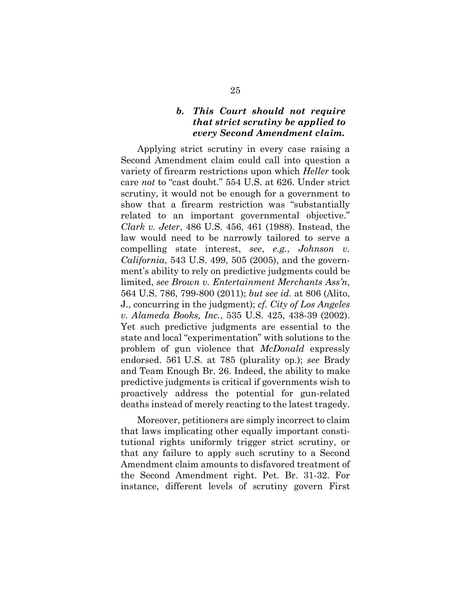#### *b. This Court should not require that strict scrutiny be applied to every Second Amendment claim.*

<span id="page-32-0"></span>Applying strict scrutiny in every case raising a Second Amendment claim could call into question a variety of firearm restrictions upon which *Heller* took care *not* to "cast doubt." 554 U.S. at 626. Under strict scrutiny, it would not be enough for a government to show that a firearm restriction was "substantially related to an important governmental objective." *Clark v. Jeter*, 486 U.S. 456, 461 (1988). Instead, the law would need to be narrowly tailored to serve a compelling state interest, *see*, *e.g.*, *Johnson v. California*, 543 U.S. 499, 505 (2005), and the government's ability to rely on predictive judgments could be limited, *see Brown v. Entertainment Merchants Ass'n*, 564 U.S. 786, 799-800 (2011); *but see id.* at 806 (Alito, J., concurring in the judgment); *cf. City of Los Angeles v. Alameda Books, Inc.*, 535 U.S. 425, 438-39 (2002). Yet such predictive judgments are essential to the state and local "experimentation" with solutions to the problem of gun violence that *McDonald* expressly endorsed. 561 U.S. at 785 (plurality op.); *see* Brady and Team Enough Br. 26. Indeed, the ability to make predictive judgments is critical if governments wish to proactively address the potential for gun-related deaths instead of merely reacting to the latest tragedy.

Moreover, petitioners are simply incorrect to claim that laws implicating other equally important constitutional rights uniformly trigger strict scrutiny, or that any failure to apply such scrutiny to a Second Amendment claim amounts to disfavored treatment of the Second Amendment right. Pet. Br. 31-32. For instance, different levels of scrutiny govern First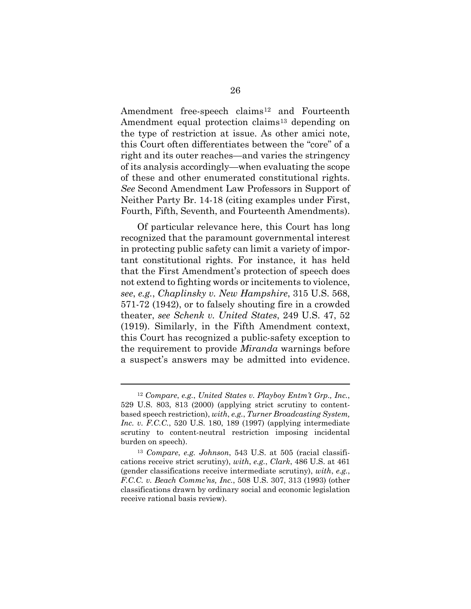Amendment free-speech claims<sup>[12](#page-33-0)</sup> and Fourteenth Amendment equal protection claims<sup>[13](#page-33-1)</sup> depending on the type of restriction at issue. As other amici note, this Court often differentiates between the "core" of a right and its outer reaches—and varies the stringency of its analysis accordingly—when evaluating the scope of these and other enumerated constitutional rights. *See* Second Amendment Law Professors in Support of Neither Party Br. 14-18 (citing examples under First, Fourth, Fifth, Seventh, and Fourteenth Amendments).

Of particular relevance here, this Court has long recognized that the paramount governmental interest in protecting public safety can limit a variety of important constitutional rights. For instance, it has held that the First Amendment's protection of speech does not extend to fighting words or incitements to violence, *see*, *e.g.*, *Chaplinsky v. New Hampshire*, 315 U.S. 568, 571-72 (1942), or to falsely shouting fire in a crowded theater, *see Schenk v. United States*, 249 U.S. 47, 52 (1919). Similarly, in the Fifth Amendment context, this Court has recognized a public-safety exception to the requirement to provide *Miranda* warnings before a suspect's answers may be admitted into evidence.

 $\overline{a}$ 

<span id="page-33-0"></span><sup>12</sup> *Compare*, *e.g.*, *United States v. Playboy Entm't Grp., Inc.*, 529 U.S. 803, 813 (2000) (applying strict scrutiny to contentbased speech restriction), *with*, *e.g.*, *Turner Broadcasting System, Inc. v. F.C.C.*, 520 U.S. 180, 189 (1997) (applying intermediate scrutiny to content-neutral restriction imposing incidental burden on speech).

<span id="page-33-1"></span><sup>13</sup> *Compare*, *e.g. Johnson*, 543 U.S. at 505 (racial classifications receive strict scrutiny), *with*, *e.g.*, *Clark*, 486 U.S. at 461 (gender classifications receive intermediate scrutiny), *with*, *e.g.*, *F.C.C. v. Beach Commc'ns, Inc.*, 508 U.S. 307, 313 (1993) (other classifications drawn by ordinary social and economic legislation receive rational basis review).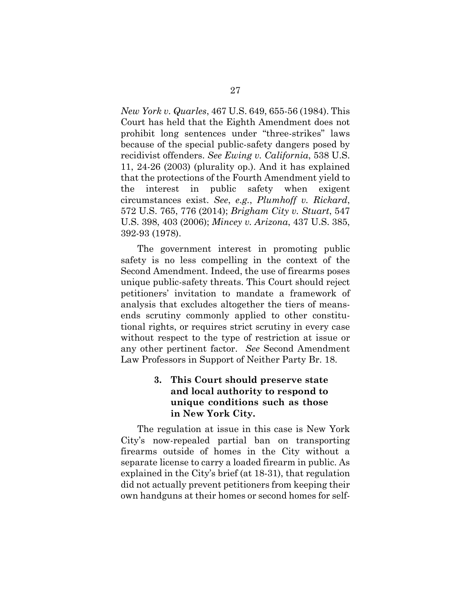*New York v. Quarles*, 467 U.S. 649, 655-56 (1984). This Court has held that the Eighth Amendment does not prohibit long sentences under "three-strikes" laws because of the special public-safety dangers posed by recidivist offenders. *See Ewing v. California*, 538 U.S. 11, 24-26 (2003) (plurality op.). And it has explained that the protections of the Fourth Amendment yield to the interest in public safety when exigent circumstances exist. *See*, *e.g.*, *Plumhoff v. Rickard*, 572 U.S. 765, 776 (2014); *Brigham City v. Stuart*, 547 U.S. 398, 403 (2006); *Mincey v. Arizona*, 437 U.S. 385, 392-93 (1978).

The government interest in promoting public safety is no less compelling in the context of the Second Amendment. Indeed, the use of firearms poses unique public-safety threats. This Court should reject petitioners' invitation to mandate a framework of analysis that excludes altogether the tiers of meansends scrutiny commonly applied to other constitutional rights, or requires strict scrutiny in every case without respect to the type of restriction at issue or any other pertinent factor. *See* Second Amendment Law Professors in Support of Neither Party Br. 18.

### <span id="page-34-0"></span>**3. This Court should preserve state and local authority to respond to unique conditions such as those in New York City.**

The regulation at issue in this case is New York City's now-repealed partial ban on transporting firearms outside of homes in the City without a separate license to carry a loaded firearm in public. As explained in the City's brief (at 18-31), that regulation did not actually prevent petitioners from keeping their own handguns at their homes or second homes for self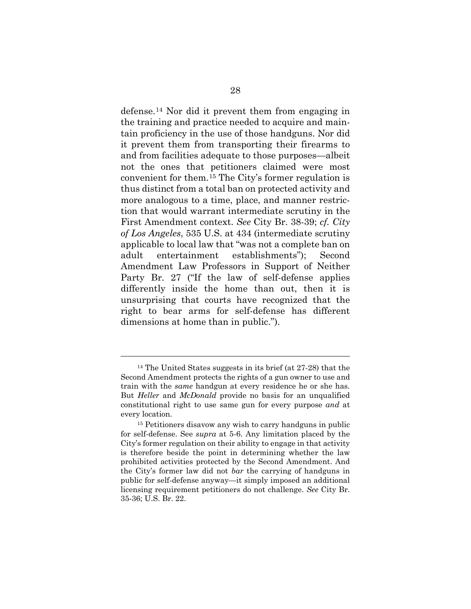defense.[14](#page-35-0) Nor did it prevent them from engaging in the training and practice needed to acquire and maintain proficiency in the use of those handguns. Nor did it prevent them from transporting their firearms to and from facilities adequate to those purposes—albeit not the ones that petitioners claimed were most convenient for them.[15](#page-35-1) The City's former regulation is thus distinct from a total ban on protected activity and more analogous to a time, place, and manner restriction that would warrant intermediate scrutiny in the First Amendment context. *See* City Br. 38-39; *cf. City of Los Angeles*, 535 U.S. at 434 (intermediate scrutiny applicable to local law that "was not a complete ban on adult entertainment establishments"); Second Amendment Law Professors in Support of Neither Party Br. 27 ("If the law of self-defense applies differently inside the home than out, then it is unsurprising that courts have recognized that the right to bear arms for self-defense has different dimensions at home than in public.").

l

<span id="page-35-0"></span><sup>14</sup> The United States suggests in its brief (at 27-28) that the Second Amendment protects the rights of a gun owner to use and train with the *same* handgun at every residence he or she has. But *Heller* and *McDonald* provide no basis for an unqualified constitutional right to use same gun for every purpose *and* at every location.

<span id="page-35-1"></span><sup>15</sup> Petitioners disavow any wish to carry handguns in public for self-defense. See *supra* at 5-6. Any limitation placed by the City's former regulation on their ability to engage in that activity is therefore beside the point in determining whether the law prohibited activities protected by the Second Amendment. And the City's former law did not *bar* the carrying of handguns in public for self-defense anyway—it simply imposed an additional licensing requirement petitioners do not challenge. *See* City Br. 35-36; U.S. Br. 22.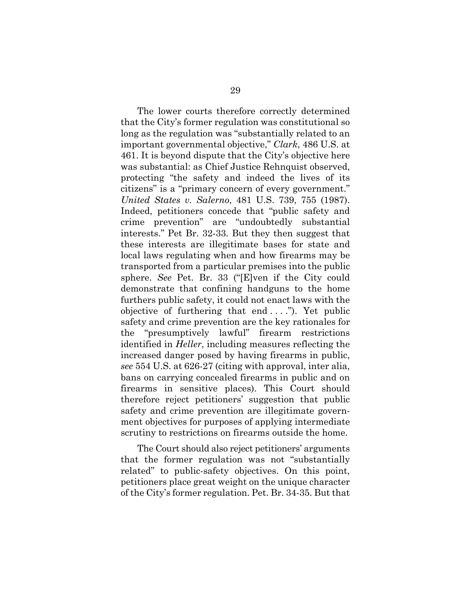The lower courts therefore correctly determined that the City's former regulation was constitutional so long as the regulation was "substantially related to an important governmental objective," *Clark*, 486 U.S. at 461. It is beyond dispute that the City's objective here was substantial: as Chief Justice Rehnquist observed, protecting "the safety and indeed the lives of its citizens" is a "primary concern of every government." *United States v. Salerno*, 481 U.S. 739, 755 (1987). Indeed, petitioners concede that "public safety and crime prevention" are "undoubtedly substantial interests." Pet Br. 32-33. But they then suggest that these interests are illegitimate bases for state and local laws regulating when and how firearms may be transported from a particular premises into the public sphere. *See* Pet. Br. 33 ("[E]ven if the City could demonstrate that confining handguns to the home furthers public safety, it could not enact laws with the objective of furthering that end  $\dots$ "). Yet public safety and crime prevention are the key rationales for the "presumptively lawful" firearm restrictions identified in *Heller*, including measures reflecting the increased danger posed by having firearms in public, *see* 554 U.S. at 626-27 (citing with approval, inter alia, bans on carrying concealed firearms in public and on firearms in sensitive places). This Court should therefore reject petitioners' suggestion that public safety and crime prevention are illegitimate government objectives for purposes of applying intermediate scrutiny to restrictions on firearms outside the home.

The Court should also reject petitioners' arguments that the former regulation was not "substantially related" to public-safety objectives. On this point, petitioners place great weight on the unique character of the City's former regulation. Pet. Br. 34-35. But that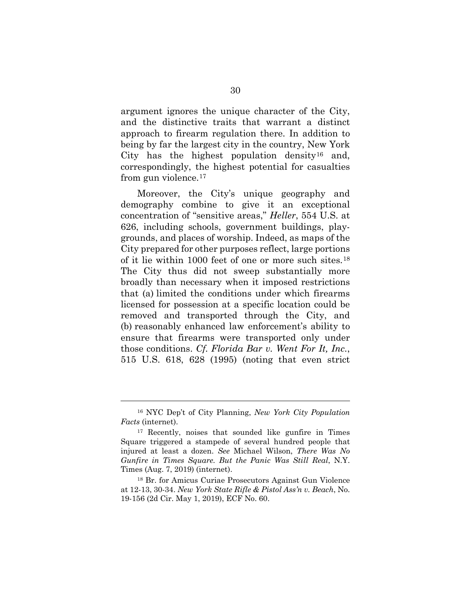argument ignores the unique character of the City, and the distinctive traits that warrant a distinct approach to firearm regulation there. In addition to being by far the largest city in the country, New York City has the highest population density<sup>16</sup> and, correspondingly, the highest potential for casualties from gun violence.[17](#page-37-1)

Moreover, the City's unique geography and demography combine to give it an exceptional concentration of "sensitive areas," *Heller*, 554 U.S. at 626, including schools, government buildings, playgrounds, and places of worship. Indeed, as maps of the City prepared for other purposes reflect, large portions of it lie within 1000 feet of one or more such sites.[18](#page-37-2) The City thus did not sweep substantially more broadly than necessary when it imposed restrictions that (a) limited the conditions under which firearms licensed for possession at a specific location could be removed and transported through the City, and (b) reasonably enhanced law enforcement's ability to ensure that firearms were transported only under those conditions. *Cf. Florida Bar v. Went For It, Inc.*, 515 U.S. 618, 628 (1995) (noting that even strict

l

<span id="page-37-0"></span><sup>16</sup> NYC Dep't of City Planning, *New York City Population Facts* (internet).

<span id="page-37-1"></span><sup>17</sup> Recently, noises that sounded like gunfire in Times Square triggered a stampede of several hundred people that injured at least a dozen. *See* Michael Wilson, *There Was No Gunfire in Times Square. But the Panic Was Still Real*, N.Y. Times (Aug. 7, 2019) (internet).

<span id="page-37-2"></span><sup>18</sup> Br. for Amicus Curiae Prosecutors Against Gun Violence at 12-13, 30-34. *New York State Rifle & Pistol Ass'n v. Beach*, No. 19-156 (2d Cir. May 1, 2019), ECF No. 60.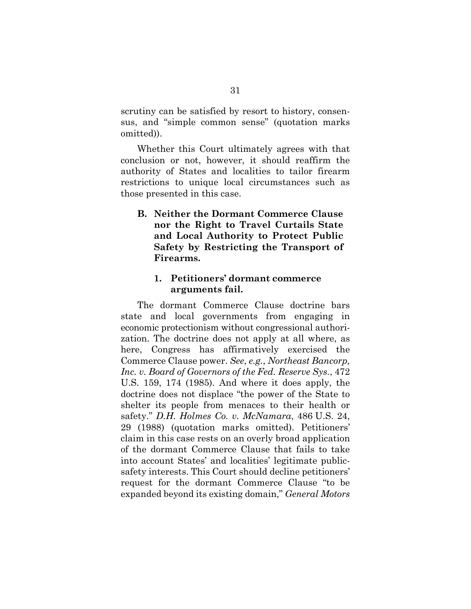scrutiny can be satisfied by resort to history, consensus, and "simple common sense" (quotation marks omitted)).

Whether this Court ultimately agrees with that conclusion or not, however, it should reaffirm the authority of States and localities to tailor firearm restrictions to unique local circumstances such as those presented in this case.

<span id="page-38-0"></span>**B. Neither the Dormant Commerce Clause nor the Right to Travel Curtails State and Local Authority to Protect Public Safety by Restricting the Transport of Firearms.**

#### <span id="page-38-1"></span>**1. Petitioners' dormant commerce arguments fail.**

The dormant Commerce Clause doctrine bars state and local governments from engaging in economic protectionism without congressional authorization. The doctrine does not apply at all where, as here, Congress has affirmatively exercised the Commerce Clause power. *See*, *e.g.*, *Northeast Bancorp, Inc. v. Board of Governors of the Fed. Reserve Sys.*, 472 U.S. 159, 174 (1985). And where it does apply, the doctrine does not displace "the power of the State to shelter its people from menaces to their health or safety." *D.H. Holmes Co. v. McNamara*, 486 U.S. 24, 29 (1988) (quotation marks omitted). Petitioners' claim in this case rests on an overly broad application of the dormant Commerce Clause that fails to take into account States' and localities' legitimate publicsafety interests. This Court should decline petitioners' request for the dormant Commerce Clause "to be expanded beyond its existing domain," *General Motors*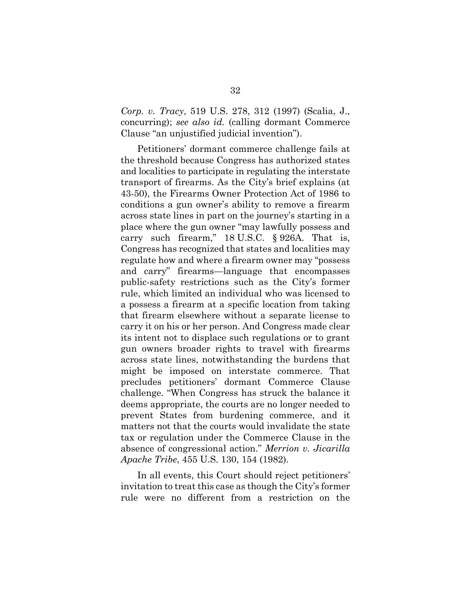*Corp. v. Tracy*, 519 U.S. 278, 312 (1997) (Scalia, J., concurring); *see also id.* (calling dormant Commerce Clause "an unjustified judicial invention").

Petitioners' dormant commerce challenge fails at the threshold because Congress has authorized states and localities to participate in regulating the interstate transport of firearms. As the City's brief explains (at 43-50), the Firearms Owner Protection Act of 1986 to conditions a gun owner's ability to remove a firearm across state lines in part on the journey's starting in a place where the gun owner "may lawfully possess and carry such firearm," 18 U.S.C. § 926A. That is, Congress has recognized that states and localities may regulate how and where a firearm owner may "possess and carry" firearms—language that encompasses public-safety restrictions such as the City's former rule, which limited an individual who was licensed to a possess a firearm at a specific location from taking that firearm elsewhere without a separate license to carry it on his or her person. And Congress made clear its intent not to displace such regulations or to grant gun owners broader rights to travel with firearms across state lines, notwithstanding the burdens that might be imposed on interstate commerce. That precludes petitioners' dormant Commerce Clause challenge. "When Congress has struck the balance it deems appropriate, the courts are no longer needed to prevent States from burdening commerce, and it matters not that the courts would invalidate the state tax or regulation under the Commerce Clause in the absence of congressional action." *Merrion v. Jicarilla Apache Tribe*, 455 U.S. 130, 154 (1982).

In all events, this Court should reject petitioners' invitation to treat this case as though the City's former rule were no different from a restriction on the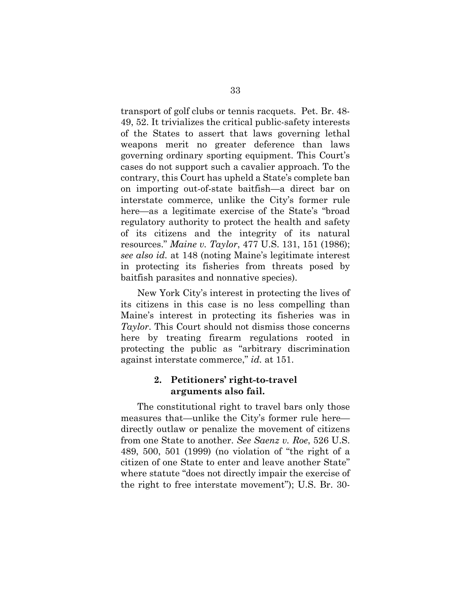transport of golf clubs or tennis racquets. Pet. Br. 48- 49, 52. It trivializes the critical public-safety interests of the States to assert that laws governing lethal weapons merit no greater deference than laws governing ordinary sporting equipment. This Court's cases do not support such a cavalier approach. To the contrary, this Court has upheld a State's complete ban on importing out-of-state baitfish—a direct bar on interstate commerce, unlike the City's former rule here—as a legitimate exercise of the State's "broad regulatory authority to protect the health and safety of its citizens and the integrity of its natural resources." *Maine v. Taylor*, 477 U.S. 131, 151 (1986); *see also id.* at 148 (noting Maine's legitimate interest in protecting its fisheries from threats posed by baitfish parasites and nonnative species).

New York City's interest in protecting the lives of its citizens in this case is no less compelling than Maine's interest in protecting its fisheries was in *Taylor*. This Court should not dismiss those concerns here by treating firearm regulations rooted in protecting the public as "arbitrary discrimination against interstate commerce," *id.* at 151.

#### <span id="page-40-0"></span>**2. Petitioners' right-to-travel arguments also fail.**

The constitutional right to travel bars only those measures that—unlike the City's former rule here directly outlaw or penalize the movement of citizens from one State to another. *See Saenz v. Roe*, 526 U.S. 489, 500, 501 (1999) (no violation of "the right of a citizen of one State to enter and leave another State" where statute "does not directly impair the exercise of the right to free interstate movement"); U.S. Br. 30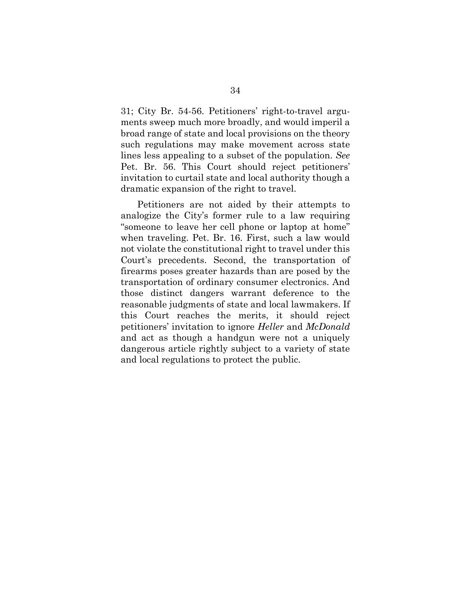31; City Br. 54-56. Petitioners' right-to-travel arguments sweep much more broadly, and would imperil a broad range of state and local provisions on the theory such regulations may make movement across state lines less appealing to a subset of the population. *See* Pet. Br. 56. This Court should reject petitioners' invitation to curtail state and local authority though a dramatic expansion of the right to travel.

Petitioners are not aided by their attempts to analogize the City's former rule to a law requiring "someone to leave her cell phone or laptop at home" when traveling. Pet. Br. 16. First, such a law would not violate the constitutional right to travel under this Court's precedents. Second, the transportation of firearms poses greater hazards than are posed by the transportation of ordinary consumer electronics. And those distinct dangers warrant deference to the reasonable judgments of state and local lawmakers. If this Court reaches the merits, it should reject petitioners' invitation to ignore *Heller* and *McDonald* and act as though a handgun were not a uniquely dangerous article rightly subject to a variety of state and local regulations to protect the public.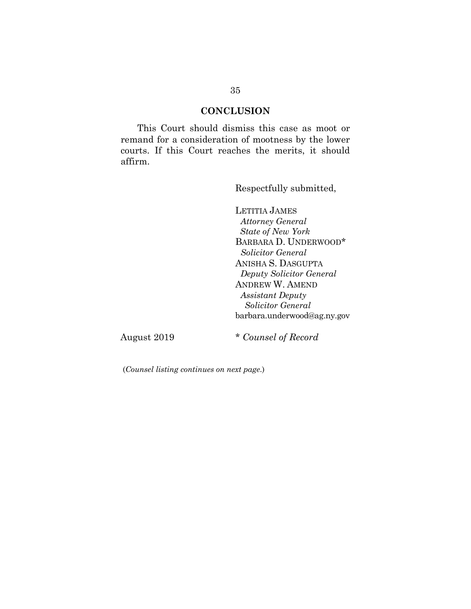#### **CONCLUSION**

<span id="page-42-0"></span>This Court should dismiss this case as moot or remand for a consideration of mootness by the lower courts. If this Court reaches the merits, it should affirm.

Respectfully submitted,

LETITIA JAMES  *Attorney General State of New York* BARBARA D. UNDERWOOD\* *Solicitor General* ANISHA S. DASGUPTA *Deputy Solicitor General* ANDREW W. AMEND *Assistant Deputy Solicitor General*  barbara.underwood@ag.ny.gov

August 2019 \* *Counsel of Record*

(*Counsel listing continues on next page*.)